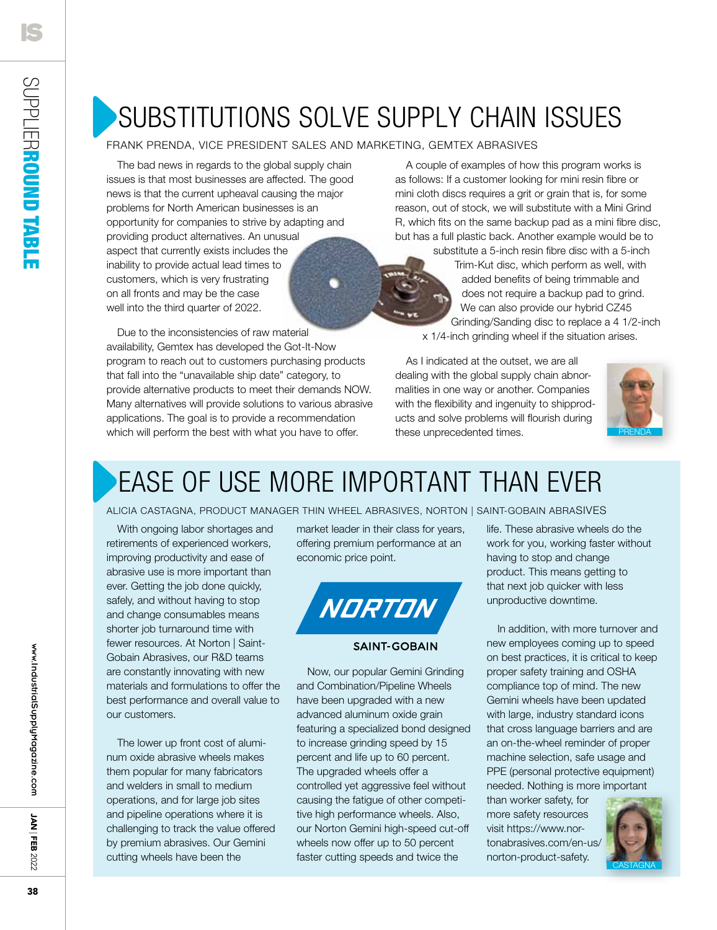### Substitutions solve supply chain issues

### frank prenda, vice president sales and marketing, gemtex abrasives

The bad news in regards to the global supply chain issues is that most businesses are affected. The good news is that the current upheaval causing the major problems for North American businesses is an opportunity for companies to strive by adapting and providing product alternatives. An unusual aspect that currently exists includes the inability to provide actual lead times to customers, which is very frustrating on all fronts and may be the case well into the third quarter of 2022.

Due to the inconsistencies of raw material availability, Gemtex has developed the Got-It-Now program to reach out to customers purchasing products that fall into the "unavailable ship date" category, to provide alternative products to meet their demands NOW. Many alternatives will provide solutions to various abrasive applications. The goal is to provide a recommendation which will perform the best with what you have to offer.

A couple of examples of how this program works is as follows: If a customer looking for mini resin fibre or mini cloth discs requires a grit or grain that is, for some reason, out of stock, we will substitute with a Mini Grind R, which fits on the same backup pad as a mini fibre disc, but has a full plastic back. Another example would be to

> substitute a 5-inch resin fibre disc with a 5-inch Trim-Kut disc, which perform as well, with added benefits of being trimmable and does not require a backup pad to grind. We can also provide our hybrid CZ45 Grinding/Sanding disc to replace a 4 1/2-inch x 1/4-inch grinding wheel if the situation arises.

As I indicated at the outset, we are all dealing with the global supply chain abnormalities in one way or another. Companies with the flexibility and ingenuity to shipproducts and solve problems will flourish during these unprecedented times.



### ease of use more important than ever

#### alicia castagna, product manager thin wheel abrasives, Norton | Saint-Gobain Abrasives

With ongoing labor shortages and retirements of experienced workers, improving productivity and ease of abrasive use is more important than ever. Getting the job done quickly, safely, and without having to stop and change consumables means shorter job turnaround time with fewer resources. At Norton | Saint-Gobain Abrasives, our R&D teams are constantly innovating with new materials and formulations to offer the best performance and overall value to our customers.

The lower up front cost of aluminum oxide abrasive wheels makes them popular for many fabricators and welders in small to medium operations, and for large job sites and pipeline operations where it is challenging to track the value offered by premium abrasives. Our Gemini cutting wheels have been the

market leader in their class for years, offering premium performance at an economic price point.



#### **SAINT-GOBAIN**

Now, our popular Gemini Grinding and Combination/Pipeline Wheels have been upgraded with a new advanced aluminum oxide grain featuring a specialized bond designed to increase grinding speed by 15 percent and life up to 60 percent. The upgraded wheels offer a controlled yet aggressive feel without causing the fatigue of other competitive high performance wheels. Also, our Norton Gemini high-speed cut-off wheels now offer up to 50 percent faster cutting speeds and twice the

life. These abrasive wheels do the work for you, working faster without having to stop and change product. This means getting to that next job quicker with less unproductive downtime.

In addition, with more turnover and new employees coming up to speed on best practices, it is critical to keep proper safety training and OSHA compliance top of mind. The new Gemini wheels have been updated with large, industry standard icons that cross language barriers and are an on-the-wheel reminder of proper machine selection, safe usage and PPE (personal protective equipment) needed. Nothing is more important

than worker safety, for more safety resources visit https://www.nortonabrasives.com/en-us/ norton-product-safety.



**NAL**